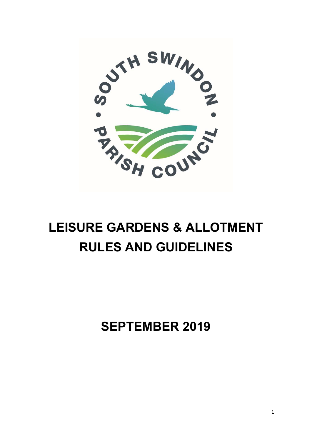

# LEISURE GARDENS & ALLOTMENT RULES AND GUIDELINES

SEPTEMBER 2019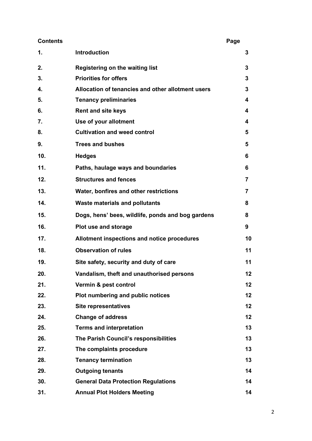| <b>Contents</b> |                                                   | Page |    |
|-----------------|---------------------------------------------------|------|----|
| 1.              | <b>Introduction</b>                               |      | 3  |
| 2.              | Registering on the waiting list                   |      | 3  |
| 3.              | <b>Priorities for offers</b>                      |      | 3  |
| 4.              | Allocation of tenancies and other allotment users |      | 3  |
| 5.              | <b>Tenancy preliminaries</b>                      |      | 4  |
| 6.              | <b>Rent and site keys</b>                         |      | 4  |
| 7.              | Use of your allotment                             |      | 4  |
| 8.              | <b>Cultivation and weed control</b>               |      | 5  |
| 9.              | <b>Trees and bushes</b>                           |      | 5  |
| 10.             | <b>Hedges</b>                                     |      | 6  |
| 11.             | Paths, haulage ways and boundaries                |      | 6  |
| 12.             | <b>Structures and fences</b>                      |      | 7  |
| 13.             | Water, bonfires and other restrictions            |      | 7  |
| 14.             | <b>Waste materials and pollutants</b>             |      | 8  |
| 15.             | Dogs, hens' bees, wildlife, ponds and bog gardens |      | 8  |
| 16.             | Plot use and storage                              |      | 9  |
| 17.             | Allotment inspections and notice procedures       |      | 10 |
| 18.             | <b>Observation of rules</b>                       |      | 11 |
| 19.             | Site safety, security and duty of care            |      | 11 |
| 20.             | Vandalism, theft and unauthorised persons         |      | 12 |
| 21.             | Vermin & pest control                             |      | 12 |
| 22.             | Plot numbering and public notices                 |      | 12 |
| 23.             | <b>Site representatives</b>                       |      | 12 |
| 24.             | <b>Change of address</b>                          |      | 12 |
| 25.             | <b>Terms and interpretation</b>                   |      | 13 |
| 26.             | The Parish Council's responsibilities             |      | 13 |
| 27.             | The complaints procedure                          |      | 13 |
| 28.             | <b>Tenancy termination</b>                        |      | 13 |
| 29.             | <b>Outgoing tenants</b>                           |      | 14 |
| 30.             | <b>General Data Protection Regulations</b>        |      | 14 |
| 31.             | <b>Annual Plot Holders Meeting</b>                |      | 14 |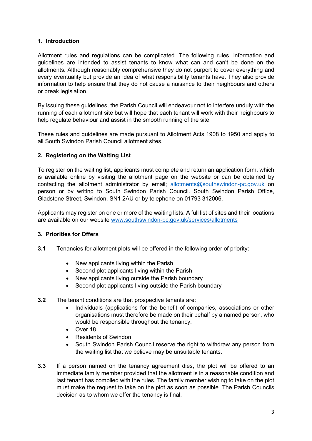## 1. Introduction

Allotment rules and regulations can be complicated. The following rules, information and guidelines are intended to assist tenants to know what can and can't be done on the allotments. Although reasonably comprehensive they do not purport to cover everything and every eventuality but provide an idea of what responsibility tenants have. They also provide information to help ensure that they do not cause a nuisance to their neighbours and others or break legislation.

By issuing these guidelines, the Parish Council will endeavour not to interfere unduly with the running of each allotment site but will hope that each tenant will work with their neighbours to help regulate behaviour and assist in the smooth running of the site.

These rules and guidelines are made pursuant to Allotment Acts 1908 to 1950 and apply to all South Swindon Parish Council allotment sites.

#### 2. Registering on the Waiting List

To register on the waiting list, applicants must complete and return an application form, which is available online by visiting the allotment page on the website or can be obtained by contacting the allotment administrator by email; allotments@southswindon-pc.gov.uk on person or by writing to South Swindon Parish Council. South Swindon Parish Office, Gladstone Street, Swindon. SN1 2AU or by telephone on 01793 312006.

Applicants may register on one or more of the waiting lists. A full list of sites and their locations are available on our website www.southswindon-pc.gov.uk/services/allotments

## 3. Priorities for Offers

- 3.1 Tenancies for allotment plots will be offered in the following order of priority:
	- New applicants living within the Parish
	- Second plot applicants living within the Parish
	- New applicants living outside the Parish boundary
	- Second plot applicants living outside the Parish boundary
- 3.2 The tenant conditions are that prospective tenants are:
	- Individuals (applications for the benefit of companies, associations or other organisations must therefore be made on their behalf by a named person, who would be responsible throughout the tenancy.
	- Over 18
	- Residents of Swindon
	- South Swindon Parish Council reserve the right to withdraw any person from the waiting list that we believe may be unsuitable tenants.
- 3.3 If a person named on the tenancy agreement dies, the plot will be offered to an immediate family member provided that the allotment is in a reasonable condition and last tenant has complied with the rules. The family member wishing to take on the plot must make the request to take on the plot as soon as possible. The Parish Councils decision as to whom we offer the tenancy is final.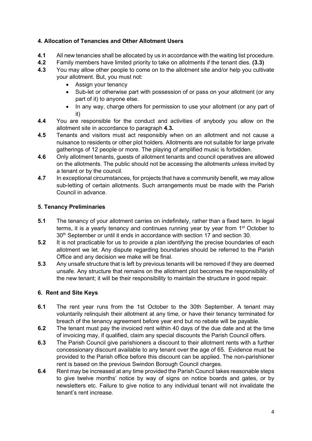## 4. Allocation of Tenancies and Other Allotment Users

- 4.1 All new tenancies shall be allocated by us in accordance with the waiting list procedure.
- 4.2 Family members have limited priority to take on allotments if the tenant dies. (3.3)
- 4.3 You may allow other people to come on to the allotment site and/or help you cultivate your allotment. But, you must not:
	- Assign your tenancy
	- Sub-let or otherwise part with possession of or pass on your allotment (or any part of it) to anyone else.
	- In any way, charge others for permission to use your allotment (or any part of it)
- 4.4 You are responsible for the conduct and activities of anybody you allow on the allotment site in accordance to paragraph 4.3.
- 4.5 Tenants and visitors must act responsibly when on an allotment and not cause a nuisance to residents or other plot holders. Allotments are not suitable for large private gatherings of 12 people or more. The playing of amplified music is forbidden.
- 4.6 Only allotment tenants, guests of allotment tenants and council operatives are allowed on the allotments. The public should not be accessing the allotments unless invited by a tenant or by the council.
- 4.7 In exceptional circumstances, for projects that have a community benefit, we may allow sub-letting of certain allotments. Such arrangements must be made with the Parish Council in advance.

## 5. Tenancy Preliminaries

- 5.1 The tenancy of your allotment carries on indefinitely, rather than a fixed term. In legal terms, it is a yearly tenancy and continues running year by year from 1<sup>st</sup> October to 30<sup>th</sup> September or until it ends in accordance with section 17 and section 30.
- 5.2 It is not practicable for us to provide a plan identifying the precise boundaries of each allotment we let. Any dispute regarding boundaries should be referred to the Parish Office and any decision we make will be final.
- 5.3 Any unsafe structure that is left by previous tenants will be removed if they are deemed unsafe. Any structure that remains on the allotment plot becomes the responsibility of the new tenant; it will be their responsibility to maintain the structure in good repair.

## 6. Rent and Site Keys

- 6.1 The rent year runs from the 1st October to the 30th September. A tenant may voluntarily relinquish their allotment at any time, or have their tenancy terminated for breach of the tenancy agreement before year end but no rebate will be payable.
- 6.2 The tenant must pay the invoiced rent within 40 days of the due date and at the time of invoicing may, if qualified, claim any special discounts the Parish Council offers.
- 6.3 The Parish Council give parishioners a discount to their allotment rents with a further concessionary discount available to any tenant over the age of 65. Evidence must be provided to the Parish office before this discount can be applied. The non-parishioner rent is based on the previous Swindon Borough Council charges.
- 6.4 Rent may be increased at any time provided the Parish Council takes reasonable steps to give twelve months' notice by way of signs on notice boards and gates, or by newsletters etc. Failure to give notice to any individual tenant will not invalidate the tenant's rent increase.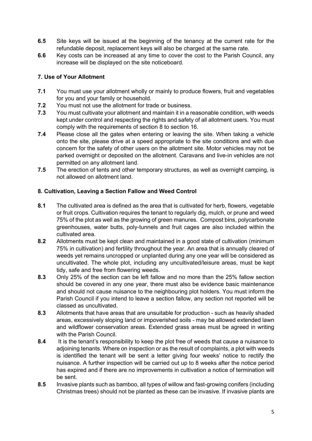- 6.5 Site keys will be issued at the beginning of the tenancy at the current rate for the refundable deposit, replacement keys will also be charged at the same rate.
- 6.6 Key costs can be increased at any time to cover the cost to the Parish Council, any increase will be displayed on the site noticeboard.

## 7. Use of Your Allotment

- 7.1 You must use your allotment wholly or mainly to produce flowers, fruit and vegetables for you and your family or household.
- 7.2 You must not use the allotment for trade or business.
- 7.3 You must cultivate your allotment and maintain it in a reasonable condition, with weeds kept under control and respecting the rights and safety of all allotment users. You must comply with the requirements of section 8 to section 16.
- 7.4 Please close all the gates when entering or leaving the site. When taking a vehicle onto the site, please drive at a speed appropriate to the site conditions and with due concern for the safety of other users on the allotment site. Motor vehicles may not be parked overnight or deposited on the allotment. Caravans and live-in vehicles are not permitted on any allotment land.
- 7.5 The erection of tents and other temporary structures, as well as overnight camping, is not allowed on allotment land.

## 8. Cultivation, Leaving a Section Fallow and Weed Control

- 8.1 The cultivated area is defined as the area that is cultivated for herb, flowers, vegetable or fruit crops. Cultivation requires the tenant to regularly dig, mulch, or prune and weed 75% of the plot as well as the growing of green manures. Compost bins, polycarbonate greenhouses, water butts, poly-tunnels and fruit cages are also included within the cultivated area.
- 8.2 Allotments must be kept clean and maintained in a good state of cultivation (minimum 75% in cultivation) and fertility throughout the year. An area that is annually cleared of weeds yet remains uncropped or unplanted during any one year will be considered as uncultivated. The whole plot, including any uncultivated/leisure areas, must be kept tidy, safe and free from flowering weeds.
- 8.3 Only 25% of the section can be left fallow and no more than the 25% fallow section should be covered in any one year, there must also be evidence basic maintenance and should not cause nuisance to the neighbouring plot holders. You must inform the Parish Council if you intend to leave a section fallow, any section not reported will be classed as uncultivated.
- 8.3 Allotments that have areas that are unsuitable for production such as heavily shaded areas, excessively sloping land or impoverished soils - may be allowed extended lawn and wildflower conservation areas. Extended grass areas must be agreed in writing with the Parish Council.
- 8.4 It is the tenant's responsibility to keep the plot free of weeds that cause a nuisance to adjoining tenants. Where on inspection or as the result of complaints, a plot with weeds is identified the tenant will be sent a letter giving four weeks' notice to rectify the nuisance. A further inspection will be carried out up to 8 weeks after the notice period has expired and if there are no improvements in cultivation a notice of termination will be sent.
- 8.5 Invasive plants such as bamboo, all types of willow and fast-growing conifers (including Christmas trees) should not be planted as these can be invasive. If invasive plants are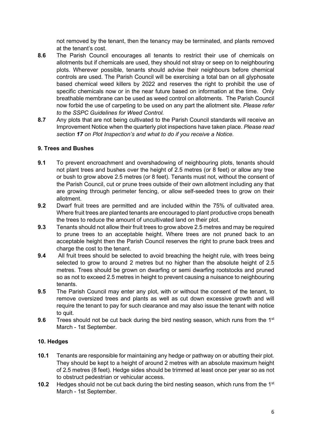not removed by the tenant, then the tenancy may be terminated, and plants removed at the tenant's cost.

- 8.6 The Parish Council encourages all tenants to restrict their use of chemicals on allotments but if chemicals are used, they should not stray or seep on to neighbouring plots. Wherever possible, tenants should advise their neighbours before chemical controls are used. The Parish Council will be exercising a total ban on all glyphosate based chemical weed killers by 2022 and reserves the right to prohibit the use of specific chemicals now or in the near future based on information at the time. Only breathable membrane can be used as weed control on allotments. The Parish Council now forbid the use of carpeting to be used on any part the allotment site. Please refer to the SSPC Guidelines for Weed Control.
- 8.7 Any plots that are not being cultivated to the Parish Council standards will receive an Improvement Notice when the quarterly plot inspections have taken place. Please read section 17 on Plot Inspection's and what to do if you receive a Notice.

## 9. Trees and Bushes

- 9.1 To prevent encroachment and overshadowing of neighbouring plots, tenants should not plant trees and bushes over the height of 2.5 metres (or 8 feet) or allow any tree or bush to grow above 2.5 metres (or 8 feet). Tenants must not, without the consent of the Parish Council, cut or prune trees outside of their own allotment including any that are growing through perimeter fencing, or allow self-seeded trees to grow on their allotment.
- 9.2 Dwarf fruit trees are permitted and are included within the 75% of cultivated area. Where fruit trees are planted tenants are encouraged to plant productive crops beneath the trees to reduce the amount of uncultivated land on their plot.
- 9.3 Tenants should not allow their fruit trees to grow above 2.5 metres and may be required to prune trees to an acceptable height. Where trees are not pruned back to an acceptable height then the Parish Council reserves the right to prune back trees and charge the cost to the tenant.
- 9.4 All fruit trees should be selected to avoid breaching the height rule, with trees being selected to grow to around 2 metres but no higher than the absolute height of 2.5 metres. Trees should be grown on dwarfing or semi dwarfing rootstocks and pruned so as not to exceed 2.5 metres in height to prevent causing a nuisance to neighbouring tenants.
- 9.5 The Parish Council may enter any plot, with or without the consent of the tenant, to remove oversized trees and plants as well as cut down excessive growth and will require the tenant to pay for such clearance and may also issue the tenant with notice to quit.
- 9.6 Trees should not be cut back during the bird nesting season, which runs from the  $1<sup>st</sup>$ March - 1st September.

## 10. Hedges

- 10.1 Tenants are responsible for maintaining any hedge or pathway on or abutting their plot. They should be kept to a height of around 2 metres with an absolute maximum height of 2.5 metres (8 feet). Hedge sides should be trimmed at least once per year so as not to obstruct pedestrian or vehicular access.
- **10.2** Hedges should not be cut back during the bird nesting season, which runs from the  $1<sup>st</sup>$ March - 1st September.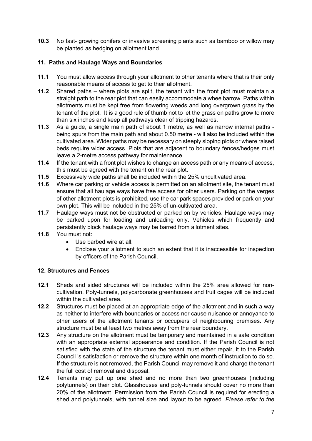10.3 No fast- growing conifers or invasive screening plants such as bamboo or willow may be planted as hedging on allotment land.

## 11. Paths and Haulage Ways and Boundaries

- 11.1 You must allow access through your allotment to other tenants where that is their only reasonable means of access to get to their allotment.
- 11.2 Shared paths where plots are split, the tenant with the front plot must maintain a straight path to the rear plot that can easily accommodate a wheelbarrow. Paths within allotments must be kept free from flowering weeds and long overgrown grass by the tenant of the plot. It is a good rule of thumb not to let the grass on paths grow to more than six inches and keep all pathways clear of tripping hazards.
- 11.3 As a guide, a single main path of about 1 metre, as well as narrow internal paths being spurs from the main path and about 0.50 metre - will also be included within the cultivated area. Wider paths may be necessary on steeply sloping plots or where raised beds require wider access. Plots that are adjacent to boundary fences/hedges must leave a 2-metre access pathway for maintenance.
- 11.4 If the tenant with a front plot wishes to change an access path or any means of access, this must be agreed with the tenant on the rear plot.
- 11.5 Excessively wide paths shall be included within the 25% uncultivated area.
- 11.6 Where car parking or vehicle access is permitted on an allotment site, the tenant must ensure that all haulage ways have free access for other users. Parking on the verges of other allotment plots is prohibited, use the car park spaces provided or park on your own plot. This will be included in the 25% of un-cultivated area.
- 11.7 Haulage ways must not be obstructed or parked on by vehicles. Haulage ways may be parked upon for loading and unloading only. Vehicles which frequently and persistently block haulage ways may be barred from allotment sites.
- 11.8 You must not:
	- Use barbed wire at all.
	- Enclose your allotment to such an extent that it is inaccessible for inspection by officers of the Parish Council.

## 12. Structures and Fences

- 12.1 Sheds and sided structures will be included within the 25% area allowed for noncultivation. Poly-tunnels, polycarbonate greenhouses and fruit cages will be included within the cultivated area.
- 12.2 Structures must be placed at an appropriate edge of the allotment and in such a way as neither to interfere with boundaries or access nor cause nuisance or annoyance to other users of the allotment tenants or occupiers of neighbouring premises. Any structure must be at least two metres away from the rear boundary.
- 12.3 Any structure on the allotment must be temporary and maintained in a safe condition with an appropriate external appearance and condition. If the Parish Council is not satisfied with the state of the structure the tenant must either repair, it to the Parish Council 's satisfaction or remove the structure within one month of instruction to do so. If the structure is not removed, the Parish Council may remove it and charge the tenant the full cost of removal and disposal.
- 12.4 Tenants may put up one shed and no more than two greenhouses (including polytunnels) on their plot. Glasshouses and poly-tunnels should cover no more than 20% of the allotment. Permission from the Parish Council is required for erecting a shed and polytunnels, with tunnel size and layout to be agreed. Please refer to the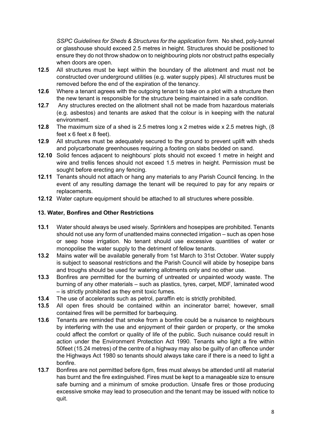SSPC Guidelines for Sheds & Structures for the application form. No shed, poly-tunnel or glasshouse should exceed 2.5 metres in height. Structures should be positioned to ensure they do not throw shadow on to neighbouring plots nor obstruct paths especially when doors are open.

- 12.5 All structures must be kept within the boundary of the allotment and must not be constructed over underground utilities (e.g. water supply pipes). All structures must be removed before the end of the expiration of the tenancy.
- 12.6 Where a tenant agrees with the outgoing tenant to take on a plot with a structure then the new tenant is responsible for the structure being maintained in a safe condition.
- 12.7 Any structures erected on the allotment shall not be made from hazardous materials (e.g. asbestos) and tenants are asked that the colour is in keeping with the natural environment.
- 12.8 The maximum size of a shed is 2.5 metres long x 2 metres wide x 2.5 metres high, (8 feet x 6 feet x 8 feet).
- 12.9 All structures must be adequately secured to the ground to prevent uplift with sheds and polycarbonate greenhouses requiring a footing on slabs bedded on sand.
- 12.10 Solid fences adjacent to neighbours' plots should not exceed 1 metre in height and wire and trellis fences should not exceed 1.5 metres in height. Permission must be sought before erecting any fencing.
- 12.11 Tenants should not attach or hang any materials to any Parish Council fencing. In the event of any resulting damage the tenant will be required to pay for any repairs or replacements.
- 12.12 Water capture equipment should be attached to all structures where possible.

## 13. Water, Bonfires and Other Restrictions

- 13.1 Water should always be used wisely. Sprinklers and hosepipes are prohibited. Tenants should not use any form of unattended mains connected irrigation – such as open hose or seep hose irrigation. No tenant should use excessive quantities of water or monopolise the water supply to the detriment of fellow tenants.
- 13.2 Mains water will be available generally from 1st March to 31st October. Water supply is subject to seasonal restrictions and the Parish Council will abide by hosepipe bans and troughs should be used for watering allotments only and no other use.
- 13.3 Bonfires are permitted for the burning of untreated or unpainted woody waste. The burning of any other materials – such as plastics, tyres, carpet, MDF, laminated wood – is strictly prohibited as they emit toxic fumes.
- 13.4 The use of accelerants such as petrol, paraffin etc is strictly prohibited.
- 13.5 All open fires should be contained within an incinerator barrel; however, small contained fires will be permitted for barbequing.
- 13.6 Tenants are reminded that smoke from a bonfire could be a nuisance to neighbours by interfering with the use and enjoyment of their garden or property, or the smoke could affect the comfort or quality of life of the public. Such nuisance could result in action under the Environment Protection Act 1990. Tenants who light a fire within 50feet (15.24 metres) of the centre of a highway may also be guilty of an offence under the Highways Act 1980 so tenants should always take care if there is a need to light a bonfire.
- 13.7 Bonfires are not permitted before 6pm, fires must always be attended until all material has burnt and the fire extinguished. Fires must be kept to a manageable size to ensure safe burning and a minimum of smoke production. Unsafe fires or those producing excessive smoke may lead to prosecution and the tenant may be issued with notice to quit.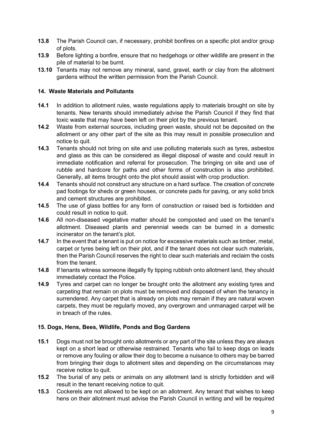- 13.8 The Parish Council can, if necessary, prohibit bonfires on a specific plot and/or group of plots.
- 13.9 Before lighting a bonfire, ensure that no hedgehogs or other wildlife are present in the pile of material to be burnt.
- 13.10 Tenants may not remove any mineral, sand, gravel, earth or clay from the allotment gardens without the written permission from the Parish Council.

#### 14. Waste Materials and Pollutants

- 14.1 In addition to allotment rules, waste regulations apply to materials brought on site by tenants. New tenants should immediately advise the Parish Council if they find that toxic waste that may have been left on their plot by the previous tenant.
- 14.2 Waste from external sources, including green waste, should not be deposited on the allotment or any other part of the site as this may result in possible prosecution and notice to quit.
- 14.3 Tenants should not bring on site and use polluting materials such as tyres, asbestos and glass as this can be considered as illegal disposal of waste and could result in immediate notification and referral for prosecution. The bringing on site and use of rubble and hardcore for paths and other forms of construction is also prohibited. Generally, all items brought onto the plot should assist with crop production.
- 14.4 Tenants should not construct any structure on a hard surface. The creation of concrete pad footings for sheds or green houses, or concrete pads for paving, or any solid brick and cement structures are prohibited.
- 14.5 The use of glass bottles for any form of construction or raised bed is forbidden and could result in notice to quit.
- 14.6 All non-diseased vegetative matter should be composted and used on the tenant's allotment. Diseased plants and perennial weeds can be burned in a domestic incinerator on the tenant's plot.
- 14.7 In the event that a tenant is put on notice for excessive materials such as timber, metal, carpet or tyres being left on their plot, and if the tenant does not clear such materials, then the Parish Council reserves the right to clear such materials and reclaim the costs from the tenant.
- 14.8 If tenants witness someone illegally fly tipping rubbish onto allotment land, they should immediately contact the Police.
- 14.9 Tyres and carpet can no longer be brought onto the allotment any existing tyres and carpeting that remain on plots must be removed and disposed of when the tenancy is surrendered. Any carpet that is already on plots may remain if they are natural woven carpets, they must be regularly moved, any overgrown and unmanaged carpet will be in breach of the rules.

## 15. Dogs, Hens, Bees, Wildlife, Ponds and Bog Gardens

- 15.1 Dogs must not be brought onto allotments or any part of the site unless they are always kept on a short lead or otherwise restrained. Tenants who fail to keep dogs on leads or remove any fouling or allow their dog to become a nuisance to others may be barred from bringing their dogs to allotment sites and depending on the circumstances may receive notice to quit.
- 15.2 The burial of any pets or animals on any allotment land is strictly forbidden and will result in the tenant receiving notice to quit.
- 15.3 Cockerels are not allowed to be kept on an allotment. Any tenant that wishes to keep hens on their allotment must advise the Parish Council in writing and will be required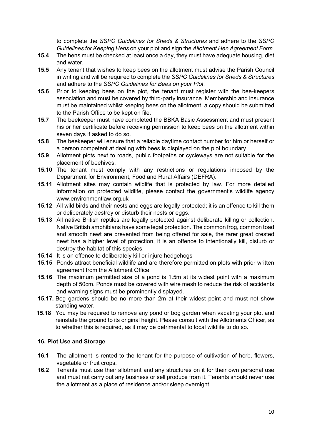to complete the SSPC Guidelines for Sheds & Structures and adhere to the SSPC Guidelines for Keeping Hens on your plot and sign the Allotment Hen Agreement Form.

- 15.4 The hens must be checked at least once a day, they must have adequate housing, diet and water.
- 15.5 Any tenant that wishes to keep bees on the allotment must advise the Parish Council in writing and will be required to complete the SSPC Guidelines for Sheds & Structures and adhere to the SSPC Guidelines for Bees on your Plot.
- 15.6 Prior to keeping bees on the plot, the tenant must register with the bee-keepers association and must be covered by third-party insurance. Membership and insurance must be maintained whilst keeping bees on the allotment, a copy should be submitted to the Parish Office to be kept on file.
- 15.7 The beekeeper must have completed the BBKA Basic Assessment and must present his or her certificate before receiving permission to keep bees on the allotment within seven days if asked to do so.
- 15.8 The beekeeper will ensure that a reliable daytime contact number for him or herself or a person competent at dealing with bees is displayed on the plot boundary.
- 15.9 Allotment plots next to roads, public footpaths or cycleways are not suitable for the placement of beehives.
- 15.10 The tenant must comply with any restrictions or regulations imposed by the Department for Environment, Food and Rural Affairs (DEFRA).
- 15.11 Allotment sites may contain wildlife that is protected by law. For more detailed information on protected wildlife, please contact the government's wildlife agency www.environmentlaw.org.uk
- 15.12 All wild birds and their nests and eggs are legally protected; it is an offence to kill them or deliberately destroy or disturb their nests or eggs.
- 15.13 All native British reptiles are legally protected against deliberate killing or collection. Native British amphibians have some legal protection. The common frog, common toad and smooth newt are prevented from being offered for sale, the rarer great crested newt has a higher level of protection, it is an offence to intentionally kill, disturb or destroy the habitat of this species.
- 15.14 It is an offence to deliberately kill or injure hedgehogs
- 15.15 Ponds attract beneficial wildlife and are therefore permitted on plots with prior written agreement from the Allotment Office.
- 15.16 The maximum permitted size of a pond is 1.5m at its widest point with a maximum depth of 50cm. Ponds must be covered with wire mesh to reduce the risk of accidents and warning signs must be prominently displayed.
- 15.17. Bog gardens should be no more than 2m at their widest point and must not show standing water.
- 15.18 You may be required to remove any pond or bog garden when vacating your plot and reinstate the ground to its original height. Please consult with the Allotments Officer, as to whether this is required, as it may be detrimental to local wildlife to do so.

## 16. Plot Use and Storage

- 16.1 The allotment is rented to the tenant for the purpose of cultivation of herb, flowers, vegetable or fruit crops.
- 16.2 Tenants must use their allotment and any structures on it for their own personal use and must not carry out any business or sell produce from it. Tenants should never use the allotment as a place of residence and/or sleep overnight.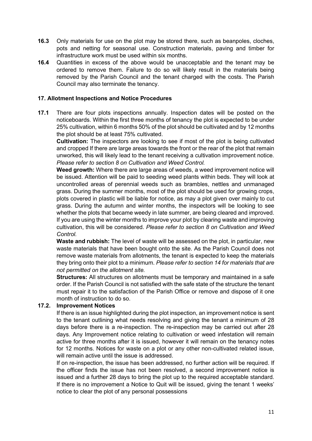- 16.3 Only materials for use on the plot may be stored there, such as beanpoles, cloches, pots and netting for seasonal use. Construction materials, paving and timber for infrastructure work must be used within six months.
- 16.4 Quantities in excess of the above would be unacceptable and the tenant may be ordered to remove them. Failure to do so will likely result in the materials being removed by the Parish Council and the tenant charged with the costs. The Parish Council may also terminate the tenancy.

#### 17. Allotment Inspections and Notice Procedures

17.1 There are four plots inspections annually. Inspection dates will be posted on the noticeboards. Within the first three months of tenancy the plot is expected to be under 25% cultivation, within 6 months 50% of the plot should be cultivated and by 12 months the plot should be at least 75% cultivated.

Cultivation: The inspectors are looking to see if most of the plot is being cultivated and cropped If there are large areas towards the front or the rear of the plot that remain unworked, this will likely lead to the tenant receiving a cultivation improvement notice. Please refer to section 8 on Cultivation and Weed Control.

Weed growth: Where there are large areas of weeds, a weed improvement notice will be issued. Attention will be paid to seeding weed plants within beds. They will look at uncontrolled areas of perennial weeds such as brambles, nettles and unmanaged grass. During the summer months, most of the plot should be used for growing crops, plots covered in plastic will be liable for notice, as may a plot given over mainly to cut grass. During the autumn and winter months, the inspectors will be looking to see whether the plots that became weedy in late summer, are being cleared and improved. If you are using the winter months to improve your plot by clearing waste and improving cultivation, this will be considered. Please refer to section 8 on Cultivation and Weed Control.

Waste and rubbish: The level of waste will be assessed on the plot, in particular, new waste materials that have been bought onto the site. As the Parish Council does not remove waste materials from allotments, the tenant is expected to keep the materials they bring onto their plot to a minimum. Please refer to section 14 for materials that are not permitted on the allotment site.

Structures: All structures on allotments must be temporary and maintained in a safe order. If the Parish Council is not satisfied with the safe state of the structure the tenant must repair it to the satisfaction of the Parish Office or remove and dispose of it one month of instruction to do so.

## 17.2. Improvement Notices

If there is an issue highlighted during the plot inspection, an improvement notice is sent to the tenant outlining what needs resolving and giving the tenant a minimum of 28 days before there is a re-inspection. The re-inspection may be carried out after 28 days. Any Improvement notice relating to cultivation or weed infestation will remain active for three months after it is issued, however it will remain on the tenancy notes for 12 months. Notices for waste on a plot or any other non-cultivated related issue, will remain active until the issue is addressed.

If on re-inspection, the issue has been addressed, no further action will be required. If the officer finds the issue has not been resolved, a second improvement notice is issued and a further 28 days to bring the plot up to the required acceptable standard. If there is no improvement a Notice to Quit will be issued, giving the tenant 1 weeks' notice to clear the plot of any personal possessions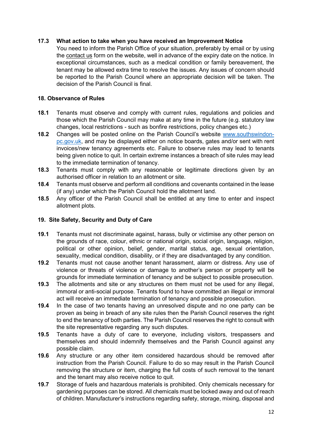#### 17.3 What action to take when you have received an Improvement Notice

You need to inform the Parish Office of your situation, preferably by email or by using the contact us form on the website, well in advance of the expiry date on the notice. In exceptional circumstances, such as a medical condition or family bereavement, the tenant may be allowed extra time to resolve the issues. Any issues of concern should be reported to the Parish Council where an appropriate decision will be taken. The decision of the Parish Council is final.

#### 18. Observance of Rules

- 18.1 Tenants must observe and comply with current rules, regulations and policies and those which the Parish Council may make at any time in the future (e.g. statutory law changes, local restrictions - such as bonfire restrictions, policy changes etc.)
- 18.2 Changes will be posted online on the Parish Council's website www.southswindonpc.gov.uk, and may be displayed either on notice boards, gates and/or sent with rent invoices/new tenancy agreements etc. Failure to observe rules may lead to tenants being given notice to quit. In certain extreme instances a breach of site rules may lead to the immediate termination of tenancy.
- 18.3 Tenants must comply with any reasonable or legitimate directions given by an authorised officer in relation to an allotment or site.
- 18.4 Tenants must observe and perform all conditions and covenants contained in the lease (if any) under which the Parish Council hold the allotment land.
- 18.5 Any officer of the Parish Council shall be entitled at any time to enter and inspect allotment plots.

#### 19. Site Safety, Security and Duty of Care

- 19.1 Tenants must not discriminate against, harass, bully or victimise any other person on the grounds of race, colour, ethnic or national origin, social origin, language, religion, political or other opinion, belief, gender, marital status, age, sexual orientation, sexuality, medical condition, disability, or if they are disadvantaged by any condition.
- 19.2 Tenants must not cause another tenant harassment, alarm or distress. Any use of violence or threats of violence or damage to another's person or property will be grounds for immediate termination of tenancy and be subject to possible prosecution.
- 19.3 The allotments and site or any structures on them must not be used for any illegal, immoral or anti-social purpose. Tenants found to have committed an illegal or immoral act will receive an immediate termination of tenancy and possible prosecution.
- 19.4 In the case of two tenants having an unresolved dispute and no one party can be proven as being in breach of any site rules then the Parish Council reserves the right to end the tenancy of both parties. The Parish Council reserves the right to consult with the site representative regarding any such disputes.
- 19.5 Tenants have a duty of care to everyone, including visitors, trespassers and themselves and should indemnify themselves and the Parish Council against any possible claim.
- 19.6 Any structure or any other item considered hazardous should be removed after instruction from the Parish Council. Failure to do so may result in the Parish Council removing the structure or item, charging the full costs of such removal to the tenant and the tenant may also receive notice to quit.
- 19.7 Storage of fuels and hazardous materials is prohibited. Only chemicals necessary for gardening purposes can be stored. All chemicals must be locked away and out of reach of children. Manufacturer's instructions regarding safety, storage, mixing, disposal and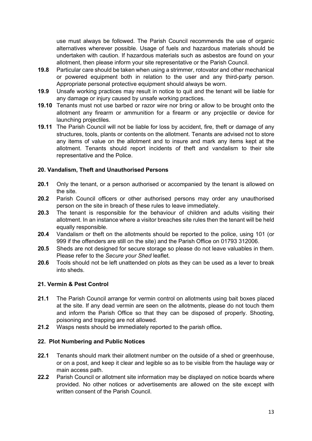use must always be followed. The Parish Council recommends the use of organic alternatives wherever possible. Usage of fuels and hazardous materials should be undertaken with caution. If hazardous materials such as asbestos are found on your allotment, then please inform your site representative or the Parish Council.

- 19.8 Particular care should be taken when using a strimmer, rotovator and other mechanical or powered equipment both in relation to the user and any third-party person. Appropriate personal protective equipment should always be worn.
- 19.9 Unsafe working practices may result in notice to quit and the tenant will be liable for any damage or injury caused by unsafe working practices.
- 19.10 Tenants must not use barbed or razor wire nor bring or allow to be brought onto the allotment any firearm or ammunition for a firearm or any projectile or device for launching projectiles.
- 19.11 The Parish Council will not be liable for loss by accident, fire, theft or damage of any structures, tools, plants or contents on the allotment. Tenants are advised not to store any items of value on the allotment and to insure and mark any items kept at the allotment. Tenants should report incidents of theft and vandalism to their site representative and the Police.

## 20. Vandalism, Theft and Unauthorised Persons

- 20.1 Only the tenant, or a person authorised or accompanied by the tenant is allowed on the site.
- 20.2 Parish Council officers or other authorised persons may order any unauthorised person on the site in breach of these rules to leave immediately.
- 20.3 The tenant is responsible for the behaviour of children and adults visiting their allotment. In an instance where a visitor breaches site rules then the tenant will be held equally responsible.
- 20.4 Vandalism or theft on the allotments should be reported to the police, using 101 (or 999 if the offenders are still on the site) and the Parish Office on 01793 312006.
- 20.5 Sheds are not designed for secure storage so please do not leave valuables in them. Please refer to the Secure your Shed leaflet.
- 20.6 Tools should not be left unattended on plots as they can be used as a lever to break into sheds.

#### 21. Vermin & Pest Control

- 21.1 The Parish Council arrange for vermin control on allotments using bait boxes placed at the site. If any dead vermin are seen on the allotments, please do not touch them and inform the Parish Office so that they can be disposed of properly. Shooting, poisoning and trapping are not allowed.
- 21.2 Wasps nests should be immediately reported to the parish office.

#### 22. Plot Numbering and Public Notices

- 22.1 Tenants should mark their allotment number on the outside of a shed or greenhouse, or on a post, and keep it clear and legible so as to be visible from the haulage way or main access path.
- 22.2 Parish Council or allotment site information may be displayed on notice boards where provided. No other notices or advertisements are allowed on the site except with written consent of the Parish Council.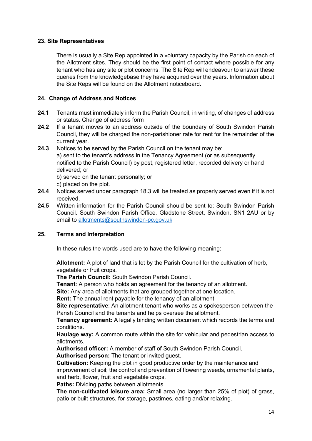#### 23. Site Representatives

There is usually a Site Rep appointed in a voluntary capacity by the Parish on each of the Allotment sites. They should be the first point of contact where possible for any tenant who has any site or plot concerns. The Site Rep will endeavour to answer these queries from the knowledgebase they have acquired over the years. Information about the Site Reps will be found on the Allotment noticeboard.

## 24. Change of Address and Notices

- 24.1 Tenants must immediately inform the Parish Council, in writing, of changes of address or status. Change of address form
- 24.2 If a tenant moves to an address outside of the boundary of South Swindon Parish Council, they will be charged the non-parishioner rate for rent for the remainder of the current year.
- 24.3 Notices to be served by the Parish Council on the tenant may be: a) sent to the tenant's address in the Tenancy Agreement (or as subsequently notified to the Parish Council) by post, registered letter, recorded delivery or hand delivered; or b) served on the tenant personally; or

c) placed on the plot.

- 24.4 Notices served under paragraph 18.3 will be treated as properly served even if it is not received.
- 24.5 Written information for the Parish Council should be sent to: South Swindon Parish Council. South Swindon Parish Office. Gladstone Street, Swindon. SN1 2AU or by email to allotments@southswindon-pc.gov.uk

## 25. Terms and Interpretation

In these rules the words used are to have the following meaning:

Allotment: A plot of land that is let by the Parish Council for the cultivation of herb, vegetable or fruit crops.

The Parish Council: South Swindon Parish Council.

Tenant: A person who holds an agreement for the tenancy of an allotment.

Site: Any area of allotments that are grouped together at one location.

Rent: The annual rent payable for the tenancy of an allotment.

Site representative: An allotment tenant who works as a spokesperson between the Parish Council and the tenants and helps oversee the allotment.

Tenancy agreement: A legally binding written document which records the terms and conditions.

Haulage way: A common route within the site for vehicular and pedestrian access to allotments.

Authorised officer: A member of staff of South Swindon Parish Council.

Authorised person: The tenant or invited guest.

Cultivation: Keeping the plot in good productive order by the maintenance and improvement of soil; the control and prevention of flowering weeds, ornamental plants, and herb, flower, fruit and vegetable crops.

Paths: Dividing paths between allotments.

 The non-cultivated leisure area: Small area (no larger than 25% of plot) of grass, patio or built structures, for storage, pastimes, eating and/or relaxing.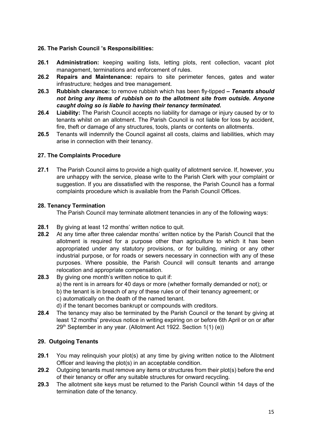## 26. The Parish Council 's Responsibilities:

- 26.1 Administration: keeping waiting lists, letting plots, rent collection, vacant plot management, terminations and enforcement of rules.
- 26.2 Repairs and Maintenance: repairs to site perimeter fences, gates and water infrastructure; hedges and tree management.
- 26.3 Rubbish clearance: to remove rubbish which has been fly-tipped Tenants should not bring any items of rubbish on to the allotment site from outside. Anyone caught doing so is liable to having their tenancy terminated.
- 26.4 Liability: The Parish Council accepts no liability for damage or injury caused by or to tenants whilst on an allotment. The Parish Council is not liable for loss by accident, fire, theft or damage of any structures, tools, plants or contents on allotments.
- 26.5 Tenants will indemnify the Council against all costs, claims and liabilities, which may arise in connection with their tenancy.

#### 27. The Complaints Procedure

27.1 The Parish Council aims to provide a high quality of allotment service. If, however, you are unhappy with the service, please write to the Parish Clerk with your complaint or suggestion. If you are dissatisfied with the response, the Parish Council has a formal complaints procedure which is available from the Parish Council Offices.

#### 28. Tenancy Termination

The Parish Council may terminate allotment tenancies in any of the following ways:

- 28.1 By giving at least 12 months' written notice to quit.
- 28.2 At any time after three calendar months' written notice by the Parish Council that the allotment is required for a purpose other than agriculture to which it has been appropriated under any statutory provisions, or for building, mining or any other industrial purpose, or for roads or sewers necessary in connection with any of these purposes. Where possible, the Parish Council will consult tenants and arrange relocation and appropriate compensation.
- 28.3 By giving one month's written notice to quit if: a) the rent is in arrears for 40 days or more (whether formally demanded or not); or b) the tenant is in breach of any of these rules or of their tenancy agreement; or c) automatically on the death of the named tenant. d) if the tenant becomes bankrupt or compounds with creditors.
- 28.4 The tenancy may also be terminated by the Parish Council or the tenant by giving at least 12 months' previous notice in writing expiring on or before 6th April or on or after 29<sup>th</sup> September in any year. (Allotment Act 1922. Section 1(1) (e))

#### 29. Outgoing Tenants

- 29.1 You may relinguish your plot(s) at any time by giving written notice to the Allotment Officer and leaving the plot(s) in an acceptable condition.
- 29.2 Outgoing tenants must remove any items or structures from their plot(s) before the end of their tenancy or offer any suitable structures for onward recycling.
- 29.3 The allotment site keys must be returned to the Parish Council within 14 days of the termination date of the tenancy.